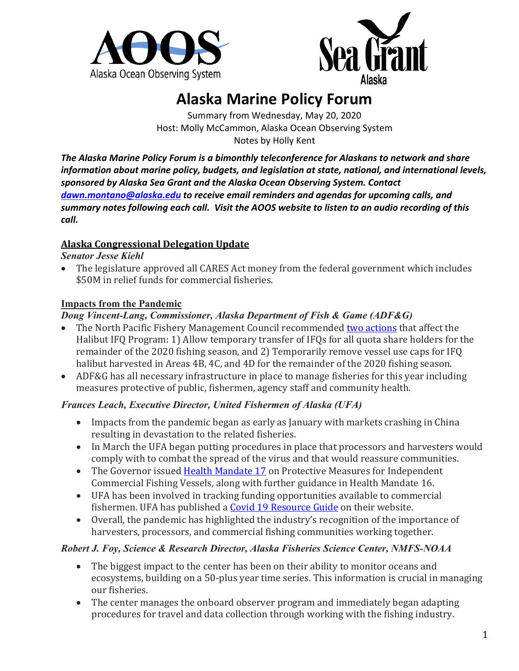



# **Alaska Marine Policy Forum**

Summary from Wednesday, May 20, 2020 Host: Molly McCammon, Alaska Ocean Observing System Notes by Holly Kent

*The Alaska Marine Policy Forum is a bimonthly teleconference for Alaskans to network and share information about marine policy, budgets, and legislation at state, national, and international levels, sponsored by Alaska Sea Grant and the Alaska Ocean Observing System. Contact [dawn.montano@alaska.edu](mailto:dawn.montano@alaska.edu) to receive email reminders and agendas for upcoming calls, and summary notes following each call. Visit the AOOS website to listen to an audio recording of this call.*

### **Alaska Congressional Delegation Update**

#### *Senator Jesse Kiehl*

• The legislature approved all CARES Act money from the federal government which includes \$50M in relief funds for commercial fisheries.

## **Impacts from the Pandemic**

## *Doug Vincent-Lang, Commissioner, Alaska Department of Fish & Game (ADF&G)*

- The North Pacific Fishery Management Council recommended [two actions](https://www.npfmc.org/halibutsablefish-ifq-program/) that affect the Halibut IFQ Program: 1) Allow temporary transfer of IFQs for all quota share holders for the remainder of the 2020 fishing season, and 2) Temporarily remove vessel use caps for IFQ halibut harvested in Areas 4B, 4C, and 4D for the remainder of the 2020 fishing season.
- ADF&G has all necessary infrastructure in place to manage fisheries for this year including measures protective of public, fishermen, agency staff and community health.

### *Frances Leach, Executive Director, United Fishermen of Alaska (UFA)*

- Impacts from the pandemic began as early as January with markets crashing in China resulting in devastation to the related fisheries.
- In March the UFA began putting procedures in place that processors and harvesters would comply with to combat the spread of the virus and that would reassure communities.
- The Governor issued [Health Mandate 17](https://gov.alaska.gov/newsroom/2020/04/23/governor-issues-covid-19-health-mandate-17/) on Protective Measures for Independent Commercial Fishing Vessels, along with further guidance in Health Mandate 16.
- UFA has been involved in tracking funding opportunities available to commercial fishermen. UFA has published [a Covid 19 Resource Guide](http://www.ufafish.org/ufa-covid-19/) on their website.
- Overall, the pandemic has highlighted the industry's recognition of the importance of harvesters, processors, and commercial fishing communities working together.

### *Robert J. Foy, Science & Research Director, Alaska Fisheries Science Center, NMFS-NOAA*

- The biggest impact to the center has been on their ability to monitor oceans and ecosystems, building on a 50-plus year time series. This information is crucial in managing our fisheries.
- The center manages the onboard observer program and immediately began adapting procedures for travel and data collection through working with the fishing industry.